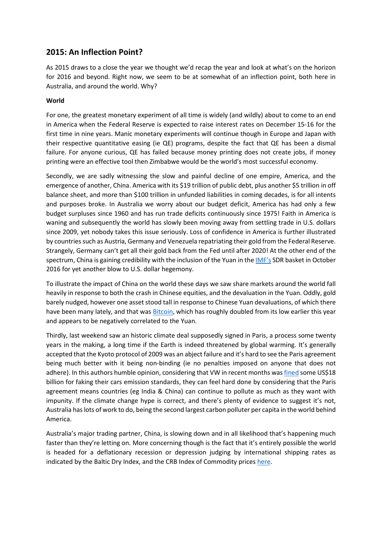# **2015: An Inflection Point?**

As 2015 draws to a close the year we thought we'd recap the year and look at what's on the horizon for 2016 and beyond. Right now, we seem to be at somewhat of an inflection point, both here in Australia, and around the world. Why?

## **World**

For one, the greatest monetary experiment of all time is widely (and wildly) about to come to an end in America when the Federal Reserve is expected to raise interest rates on December 15-16 for the first time in nine years. Manic monetary experiments will continue though in Europe and Japan with their respective quantitative easing (ie QE) programs, despite the fact that QE has been a dismal failure. For anyone curious, QE has failed because money printing does not create jobs, if money printing were an effective tool then Zimbabwe would be the world's most successful economy.

Secondly, we are sadly witnessing the slow and painful decline of one empire, America, and the emergence of another, China. America with its \$19 trillion of public debt, plus another \$5 trillion in off balance sheet, and more than \$100 trillion in unfunded liabilities in coming decades, is for all intents and purposes broke. In Australia we worry about our budget deficit, America has had only a few budget surpluses since 1960 and has run trade deficits continuously since 1975! Faith in America is waning and subsequently the world has slowly been moving away from settling trade in U.S. dollars since 2009, yet nobody takes this issue seriously. Loss of confidence in America is further illustrated by countries such as Austria, Germany and Venezuela repatriating their gold from the Federal Reserve. Strangely, Germany can't get all their gold back from the Fed until after 2020! At the other end of the spectrum, China is gaining credibility with the inclusion of the Yuan in the [IMF's](https://www.imf.org/external/np/sec/pr/2015/pr15540.htm) SDR basket in October 2016 for yet another blow to U.S. dollar hegemony.

To illustrate the impact of China on the world these days we saw share markets around the world fall heavily in response to both the crash in Chinese equities, and the devaluation in the Yuan. Oddly, gold barely nudged, however one asset stood tall in response to Chinese Yuan devaluations, of which there have been many lately, and that was [Bitcoin,](http://www.coindesk.com/bitcoin-price-at-one-year-high-on-record-volumes/) which has roughly doubled from its low earlier this year and appears to be negatively correlated to the Yuan.

Thirdly, last weekend saw an historic climate deal supposedly signed in Paris, a process some twenty years in the making, a long time if the Earth is indeed threatened by global warming. It's generally accepted that the Kyoto protocol of 2009 was an abject failure and it's hard to see the Paris agreement being much better with it being non-binding (ie no penalties imposed on anyone that does not adhere). In this authors humble opinion, considering that VW in recent months was [fined](http://www.businessinsider.com.au/theres-no-way-volkswagen-is-going-to-pay-the-us-18-billion-in-fines-for-cheating-on-emissions-tests-2015-9) some US\$18 billion for faking their cars emission standards, they can feel hard done by considering that the Paris agreement means countries (eg India & China) can continue to pollute as much as they want with impunity. If the climate change hype is correct, and there's plenty of evidence to suggest it's not, Australia has lots of work to do, being the second largest carbon polluter per capita in the world behind America.

Australia's major trading partner, China, is slowing down and in all likelihood that's happening much faster than they're letting on. More concerning though is the fact that it's entirely possible the world is headed for a deflationary recession or depression judging by international shipping rates as indicated by the Baltic Dry Index, and the CRB Index of Commodity prices [here.](http://kingworldnews.com/ten-warning-signs-that-the-world-will-see-a-terrifying-panic-and-collapse-in-2016/)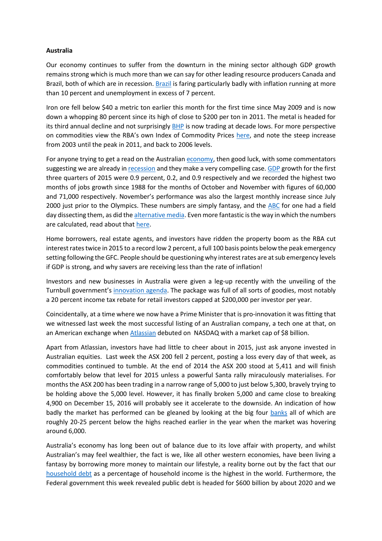#### **Australia**

Our economy continues to suffer from the downturn in the mining sector although GDP growth remains strong which is much more than we can say for other leading resource producers Canada and Brazil, both of which are in recession. [Brazil](http://www.zerohedge.com/news/2015-12-01/brazil-releases-shocking-gdp-obituary-its-mutated-outright-depression-goldman-exclai) is faring particularly badly with inflation running at more than 10 percent and unemployment in excess of 7 percent.

Iron ore fell below \$40 a metric ton earlier this month for the first time since May 2009 and is now down a whopping 80 percent since its high of close to \$200 per ton in 2011. The metal is headed for its third annual decline and not surprisingly **[BHP](http://www.abc.net.au/news/2015-12-14/bhp-hits-decade-low-as-asx-falls-steeply/7025660)** is now trading at decade lows. For more perspective on commodities view the RBA's own Index of Commodity Prices [here,](http://www.rba.gov.au/statistics/frequency/commodity-prices/2015/icp-1115.html) and note the steep increase from 2003 until the peak in 2011, and back to 2006 levels.

For anyone trying to get a read on the Australian [economy,](http://www.dailyreckoning.com.au/forget-the-gdp-figures-theyre-an-optical-illusion-cw/2015/12/02/) then good luck, with some commentators suggesting we are already in [recession](http://www.dailyreckoning.com.au/the-aussie-economy-is-already-in-recession/2015/12/03/) and they make a very compelling case[. GDP](http://www.dailyreckoning.com.au/forget-the-gdp-figures-theyre-an-optical-illusion-cw/2015/12/02/) growth for the first three quarters of 2015 were 0.9 percent, 0.2, and 0.9 respectively and we recorded the highest two months of jobs growth since 1988 for the months of October and November with figures of 60,000 and 71,000 respectively. November's performance was also the largest monthly increase since July 2000 just prior to the Olympics. These numbers are simply fantasy, and the [ABC](http://www.abc.net.au/news/2015-11-12/don) for one had a field day dissecting them, as did th[e alternative media.](http://www.zerohedge.com/news/2015-12-11/australian-media-throws-all-over-stellar-jobs-report-again) Even more fantastic is the way in which the numbers are calculated, read about tha[t here.](http://www.abc.net.au/news/2015-11-12/don)

Home borrowers, real estate agents, and investors have ridden the property boom as the RBA cut interest rates twice in 2015 to a record low 2 percent, a full 100 basis points below the peak emergency setting following the GFC. People should be questioning why interest rates are at sub emergency levels if GDP is strong, and why savers are receiving less than the rate of inflation!

Investors and new businesses in Australia were given a leg-up recently with the unveiling of the Turnbull government's [innovation agenda.](http://www.afr.com/news/politics/innovation-statement-startup-investors-win-20pc-tax-rebates-20151206-glgx2x) The package was full of all sorts of goodies, most notably a 20 percent income tax rebate for retail investors capped at \$200,000 per investor per year.

Coincidentally, at a time where we now have a Prime Minister that is pro-innovation it was fitting that we witnessed last week the most successful listing of an Australian company, a tech one at that, on an American exchange when [Atlassian](http://www.smh.com.au/technology/technology-news/atlassian-the-millionaire-factory-20151210-glkzor.html) debuted on NASDAQ with a market cap of \$8 billion.

Apart from Atlassian, investors have had little to cheer about in 2015, just ask anyone invested in Australian equities. Last week the ASX 200 fell 2 percent, posting a loss every day of that week, as commodities continued to tumble. At the end of 2014 the ASX 200 stood at 5,411 and will finish comfortably below that level for 2015 unless a powerful Santa rally miraculously materialises. For months the ASX 200 has been trading in a narrow range of 5,000 to just below 5,300, bravely trying to be holding above the 5,000 level. However, it has finally broken 5,000 and came close to breaking 4,900 on December 15, 2016 will probably see it accelerate to the downside. An indication of how badly the market has performed can be gleaned by looking at the big four [banks](http://www.smh.com.au/business/markets/morgan-stanley-says-to-avoid-bank-stocks-as-housing-slowdown-bites-20151105-gks4sk.html) all of which are roughly 20-25 percent below the highs reached earlier in the year when the market was hovering around 6,000.

Australia's economy has long been out of balance due to its love affair with property, and whilst Australian's may feel wealthier, the fact is we, like all other western economies, have been living a fantasy by borrowing more money to maintain our lifestyle, a reality borne out by the fact that our [household debt](http://www.theaustralian.com.au/business/opinion/don-stammer-x-factor/six-steps-for-managing-rising-household-debt/news-story/e3f4c6c83e6dcd87d7be8478af92114d) as a percentage of household income is the highest in the world. Furthermore, the Federal government this week revealed public debt is headed for \$600 billion by about 2020 and we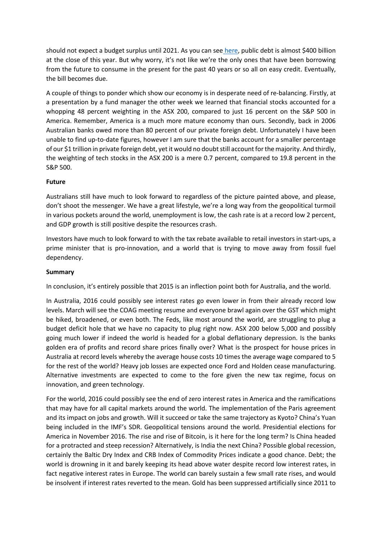should not expect a budget surplus until 2021. As you can see [here,](http://aofm.gov.au/) public debt is almost \$400 billion at the close of this year. But why worry, it's not like we're the only ones that have been borrowing from the future to consume in the present for the past 40 years or so all on easy credit. Eventually, the bill becomes due.

A couple of things to ponder which show our economy is in desperate need of re-balancing. Firstly, at a presentation by a fund manager the other week we learned that financial stocks accounted for a whopping 48 percent weighting in the ASX 200, compared to just 16 percent on the S&P 500 in America. Remember, America is a much more mature economy than ours. Secondly, back in 2006 Australian banks owed more than 80 percent of our private foreign debt. Unfortunately I have been unable to find up-to-date figures, however I am sure that the banks account for a smaller percentage of our \$1 trillion in private foreign debt, yet it would no doubt still account for the majority. And thirdly, the weighting of tech stocks in the ASX 200 is a mere 0.7 percent, compared to 19.8 percent in the S&P 500.

### **Future**

Australians still have much to look forward to regardless of the picture painted above, and please, don't shoot the messenger. We have a great lifestyle, we're a long way from the geopolitical turmoil in various pockets around the world, unemployment is low, the cash rate is at a record low 2 percent, and GDP growth is still positive despite the resources crash.

Investors have much to look forward to with the tax rebate available to retail investors in start-ups, a prime minister that is pro-innovation, and a world that is trying to move away from fossil fuel dependency.

#### **Summary**

In conclusion, it's entirely possible that 2015 is an inflection point both for Australia, and the world.

In Australia, 2016 could possibly see interest rates go even lower in from their already record low levels. March will see the COAG meeting resume and everyone brawl again over the GST which might be hiked, broadened, or even both. The Feds, like most around the world, are struggling to plug a budget deficit hole that we have no capacity to plug right now. ASX 200 below 5,000 and possibly going much lower if indeed the world is headed for a global deflationary depression. Is the banks golden era of profits and record share prices finally over? What is the prospect for house prices in Australia at record levels whereby the average house costs 10 times the average wage compared to 5 for the rest of the world? Heavy job losses are expected once Ford and Holden cease manufacturing. Alternative investments are expected to come to the fore given the new tax regime, focus on innovation, and green technology.

For the world, 2016 could possibly see the end of zero interest rates in America and the ramifications that may have for all capital markets around the world. The implementation of the Paris agreement and its impact on jobs and growth. Will it succeed or take the same trajectory as Kyoto? China's Yuan being included in the IMF's SDR. Geopolitical tensions around the world. Presidential elections for America in November 2016. The rise and rise of Bitcoin, is it here for the long term? Is China headed for a protracted and steep recession? Alternatively, is India the next China? Possible global recession, certainly the Baltic Dry Index and CRB Index of Commodity Prices indicate a good chance. Debt; the world is drowning in it and barely keeping its head above water despite record low interest rates, in fact negative interest rates in Europe. The world can barely sustain a few small rate rises, and would be insolvent if interest rates reverted to the mean. Gold has been suppressed artificially since 2011 to